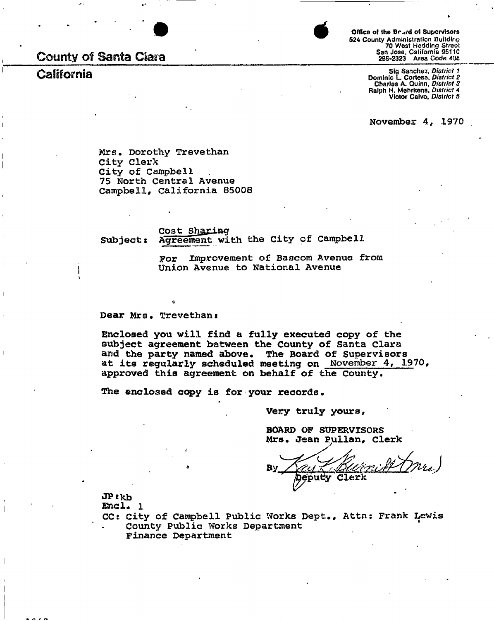# **County of Santa Clara**

 $\prod_{i=1}^i$ 



**4 324 County Administration Building 70 West Hedding Street San Jose, California 95110 <b>295-2323** Area Code 408 **Office of the Br.wd o< Supervisors** 

**California California Sig Sanchez,** *District 1* **Charles A. Quinn,** *Distrir.t 3*  **Ralph H. Mehrkens,** *District 4*  **Victor Calvo,** *District 5* 

November 4, 1970

Mrs. Dorothy Trevethan City Clerk City of Campbell 75 North Central Avenue Campbell, California 85008

Cost Sharing Subject: Agreement with the City of Campbell

> For Improvement of Baacom Avenue from Union Avenue to National Avenue

Dear Mrs. Trevethan:

Enclosed you will find a fully executed copy of the subject agreement between the County of Santa Clara and the party named above. The Board of Supervisors at its regularly scheduled meeting on November 4, 1970, approved this agreement on behalf of the County,

The enclosed copy is for your records.

Very truly yours

BOARD OF SUPERVISORS Mrs. Jean pullan. Clerk

OPtkb

**Encl.** 1

CC: City of Campbell Public Works Dept., Attn; Frank Lewis County Public Works Department

Finance Department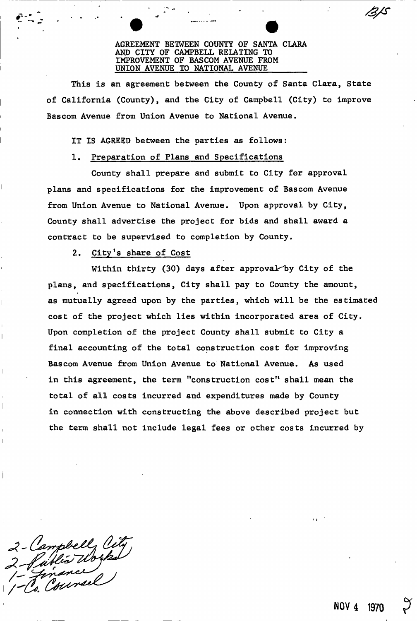#### AGREEMENT BETWEEN COUNTY OF SANTA CLARA AND CITY OF CAMPBELL RELATING TO IMPROVEMENT OF BASCOM AVENUE FROM UNION AVENUE TO NATIONAL AVENUE

This is an agreement between the County of Santa Clara, State of California (County), and the City of Campbell (City) to improve Bascom Avenue from Union Avenue to National Avenue.

IT IS AGREED between the parties as follows:

## 1. Preparation of Plans and Specifications

County shall prepare and submit to City for approval plans and specifications for the improvement of Bascom Avenue from Union Avenue to National Avenue. Upon approval by City, County shall advertise the project for bids and shall award a contract to be supervised to completion by County.

2. City's share of Cost

Within thirty (30) days after approval by City of the plans, and specifications, City shall pay to County the amount, as mutually agreed upon by the parties, which will be the estimated cost of the project which lies within incorporated area of City. Upon completion of the project County shall submit to City a final accounting of the total construction cost for improving Bascom Avenue from Union Avenue to National Avenue. As used in this agreement, the term "construction cost" shall mean the total of all costs incurred and expenditures made by County in connection with constructing the above described project but the term shall not include legal fees or other costs incurred by

2 - Campbell City<br>2 - Parlie Works

**NOV 4 1970**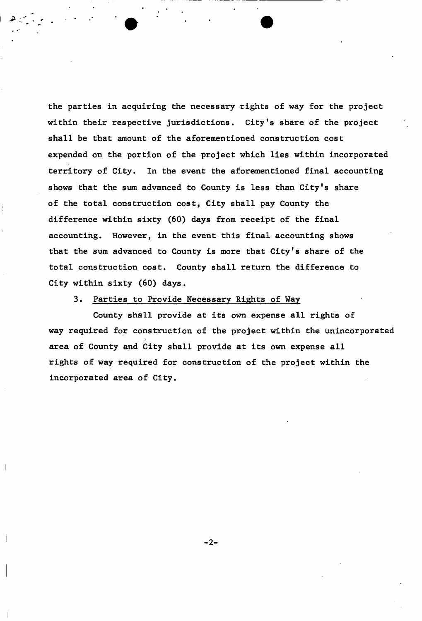the parties in acquiring the necessary rights of way for the project within their respective jurisdictions. City's share of the project shall be that amount of the aforementioned construction cost expended on the portion of the project which lies within incorporated territory of City. In the event the aforementioned final accounting shows that the sum advanced to County is less than City's share of the total construction cost, City shall pay County the difference within sixty (60) days from receipt of the final accounting. However, in the event this final accounting shows that the sum advanced to County is more that City's share of the total construction cost. County shall return the difference to City within sixty (60) days.

### 3. Parties to Provide Necessary Rights of Way

County shall provide at its own expense all rights of way required for construction of the project within the unincorporated area of County and City shall provide at its own expense all rights of way required for construction of the project within the incorporated area of City.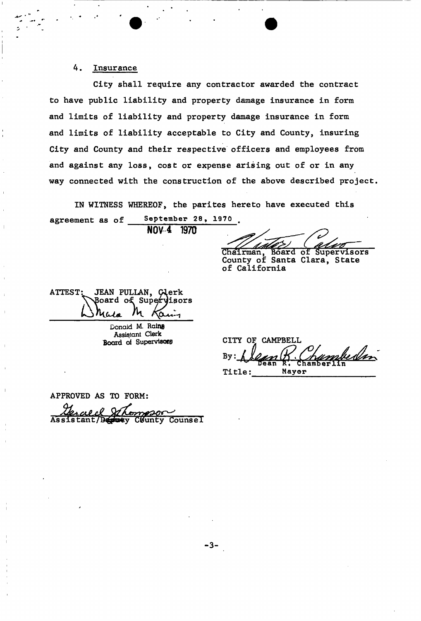## 4. Insurance

City shall require any contractor awarded the contract to have public liability and property damage insurance in form and limits of liability and property damage insurance in form and limits of liability acceptable to City and County, insuring City and County and their respective officers and employees from and against any loss, cost or expense arising out of or in any way connected with the construction of the above described project.

IN WITNESS WHEREOF, the parites hereto have executed this

agreement as of September 28, 1970. NOV<sub>4</sub> 1970

Chairman, Board of Supervisors County of Santa Clara, State of California

JEAN PULLAN, Clerk ATTEST **Board of Supervisors** Khla

Donald M. Ralne Assistant Clerk

**Board** of Supervisors **CITY OF CAMPBELL** mbedin  $By:$ Title **Mayor** 

APPROVED AS TO FORM <u>alel</u> mesor County Counsel Assistant/Dep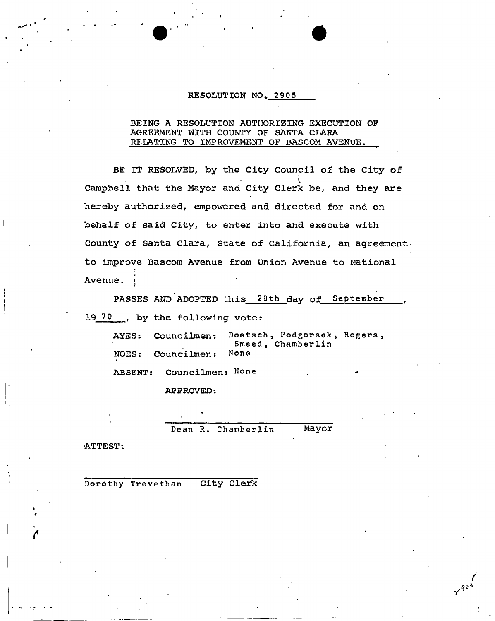#### **RESOLUTION NO. 2905**

#### **BEING A RESOLUTION AUTHORIZING EXECUTION OF AGREEMENT WITH COUNTY OF SANTA CLARA RELATING TO IMPROVEMENT OF BASCOM AVENUE.**

**BE IT RESOLVED, by the City Council of the City of Campbell that the Mayor and City Clerk be, and they are hereby authorized, empowered and directed for and on behalf of said City, to enter into and execute with County of Santa Clara, State of California, an agreementto improve Bascom Avenue from Union Avenue to National Avenue. ;** 

PASSES AND ADOPTED this 28th day of September 19 70 ..., by the following vote:

**AYES: Councilmen: Doetsch , Podgorsek , Rogers,**  Smeed, Chamberlin<br>None **NOE S s Coun ci lmen: None** 

**Dean R. Chamberlin Mayor** 

**•ATTEST:** 

**Dorothy Trevethan City Clerk**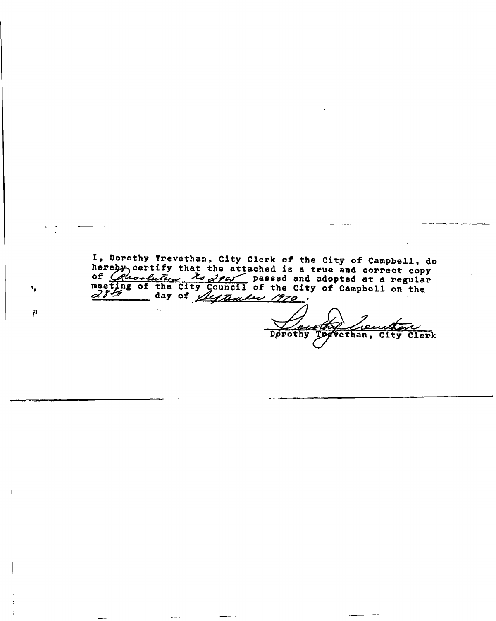I, Dorothy Trevethan, City Clerk of the City of Campbell, do hereby certify that the attached is a true and correct cop of  $G$  *canlutery* to  $g$  passed and adopted at a regular meeting of the City Council of the City of Campbell on the day of *Sustander 1970.* 

۰,

 $\mathcal{P}% _{0}$ 

عد <u>ocoth</u> Dorothy Togvethan, City Clerk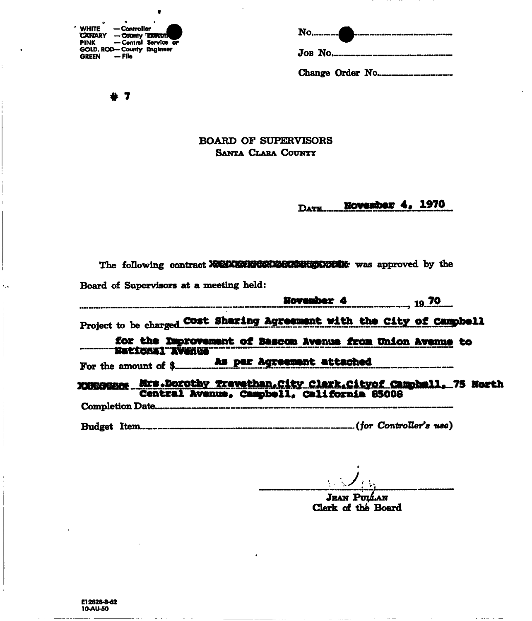| <b>WHITE</b>              | — Controller |                         |
|---------------------------|--------------|-------------------------|
| <b>CANARY</b>             |              | - County <b>Execute</b> |
| PINK                      |              | - Central Service or    |
| GOLD. ROD-County Engineer |              |                         |
| <b>GREEN</b>              | — File       |                         |

No........... .<br>I waa saa wadho u soffisa soffisa ay dhees da Asa 469 469 

 $+ 7$ 

## **BOARD OF SUPERVISORS SANTA CLARA COUNTY**

November 4, 1970 DATE...

| Board of Supervisors at a meeting held:                                                                                                                                           |
|-----------------------------------------------------------------------------------------------------------------------------------------------------------------------------------|
| <b>November 4</b> 19 70                                                                                                                                                           |
| Project to be charged Cost Sharing Agreement with the City of Campbell                                                                                                            |
| for the Improvement of Bascom Avenue from Union Avenue to<br><b>MARTI TERRITA DE SULTAN DE SULTAN DE SULTAN DE SULTAN DE SULTAN DE SULTAN DE SULTAN DE SULTAN DE SULTAN DE SU</b> |
|                                                                                                                                                                                   |
| XXXXXXXXX Mrs.Dorothy Trevethan. City Clerk. Cityof Campbell, 75 North<br>Central Avenue, Campbell, California 85008                                                              |
|                                                                                                                                                                                   |
|                                                                                                                                                                                   |

**JEAN PULLAN** Clerk of the Board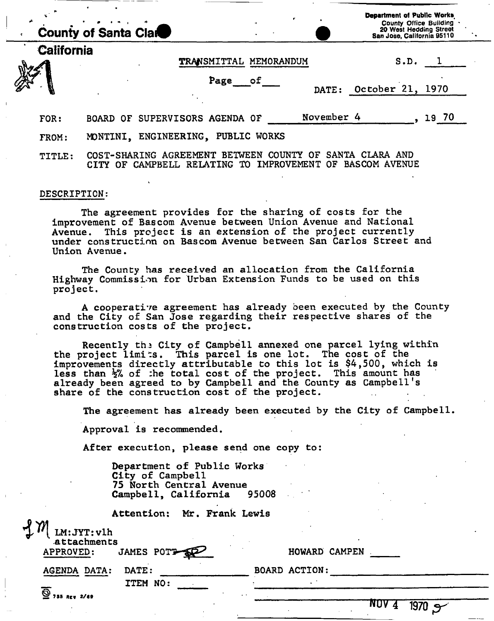| ria de la<br><b>County of Santa Clare</b> |                   |          |  |                                |  |                        |    | <b>Department of Public Works</b><br><b>County Office Building</b><br>20 West Hedding Street<br>San Jose, California 95110 |            |                  |      |       |  |
|-------------------------------------------|-------------------|----------|--|--------------------------------|--|------------------------|----|----------------------------------------------------------------------------------------------------------------------------|------------|------------------|------|-------|--|
|                                           | <b>California</b> |          |  |                                |  | TRANSMITTAL MEMORANDUM |    |                                                                                                                            |            |                  | S.D. |       |  |
|                                           |                   |          |  |                                |  | Page                   | of |                                                                                                                            | DATE:      | October 21, 1970 |      |       |  |
|                                           | FOR:              |          |  | BOARD OF SUPERVISORS AGENDA OF |  |                        |    |                                                                                                                            | November 4 |                  |      | 19 70 |  |
|                                           | FROM:             | MONTINI. |  | ENGINEERING, PUBLIC WORKS      |  |                        |    |                                                                                                                            |            |                  |      |       |  |

TITLE: COST-SHARING AGREEMENT BETWEEN COUNTY OF SANTA CLARA AND CITY OF CAMPBELL RELATING TO IMPROVEMENT OF BASCOM AVENUE

#### DESCRIPTION:

The agreement provides for the sharing of costs for the improvement of Bascom Avenue between Union Avenue and National<br>Avenue. This project is an extension of the project currently This project is an extension of the project currently under construction on Bascom Avenue between San Carlos Street and Union Avenue.

The County has received an allocation from the California Highway Commission for Urban Extension Funds to be used on this project.

A cooperative agreement has already been executed by the County and the City of San Jose regarding their respective shares of the construction costs of the project.

Recently the City of Campbell annexed one parcel lying within the project limits. This parcel is one lot. The cost of the improvements directly attributable to this lot is \$4,500, which is less than  $\frac{1}{2}$  of :he total cost of the project. This amount has already been agreed to by Campbell and the County as Campbell's share of the construction cost of the project.

The agreement has already been executed by the City of Campbell.

Approval is recommended.

After execution, please send one copy to:

Department of Public Works City of Campbell 75 North Central Avenue<br>Campbell, California 95008 Campbell, California

Attention: Mr. Frank Lewis

| <b>D</b> W<br>LM:JYT:vlh<br>attachments |              |                      |  |
|-----------------------------------------|--------------|----------------------|--|
| APPROVED:                               | JAMES POTT   | HOWARD CAMPEN        |  |
| <b>AGENDA DATA:</b>                     | <b>DATE:</b> | <b>BOARD ACTION:</b> |  |
|                                         | ITEM NO:     |                      |  |

 $9$  755 REV 2/69

**touv 4 1970 X**